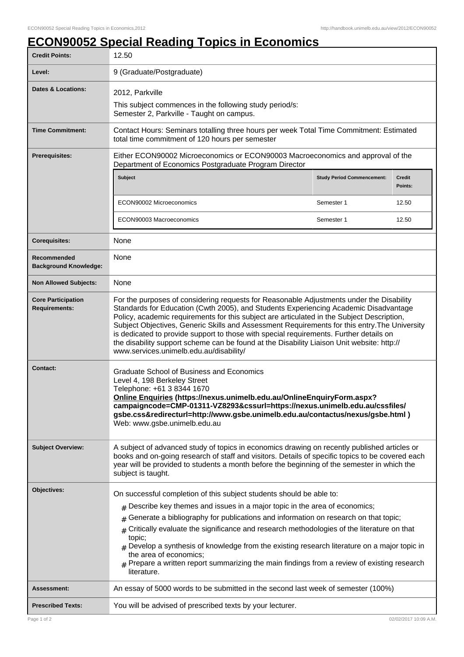## **ECON90052 Special Reading Topics in Economics**

| <b>Credit Points:</b>                             | 12.50                                                                                                                                                                                                                                                                                                                                                                                                                                                                                                                                                                                                              |                                   |                          |
|---------------------------------------------------|--------------------------------------------------------------------------------------------------------------------------------------------------------------------------------------------------------------------------------------------------------------------------------------------------------------------------------------------------------------------------------------------------------------------------------------------------------------------------------------------------------------------------------------------------------------------------------------------------------------------|-----------------------------------|--------------------------|
| Level:                                            | 9 (Graduate/Postgraduate)                                                                                                                                                                                                                                                                                                                                                                                                                                                                                                                                                                                          |                                   |                          |
| Dates & Locations:                                | 2012, Parkville                                                                                                                                                                                                                                                                                                                                                                                                                                                                                                                                                                                                    |                                   |                          |
|                                                   | This subject commences in the following study period/s:<br>Semester 2, Parkville - Taught on campus.                                                                                                                                                                                                                                                                                                                                                                                                                                                                                                               |                                   |                          |
| <b>Time Commitment:</b>                           | Contact Hours: Seminars totalling three hours per week Total Time Commitment: Estimated<br>total time commitment of 120 hours per semester                                                                                                                                                                                                                                                                                                                                                                                                                                                                         |                                   |                          |
| Prerequisites:                                    | Either ECON90002 Microeconomics or ECON90003 Macroeconomics and approval of the<br>Department of Economics Postgraduate Program Director                                                                                                                                                                                                                                                                                                                                                                                                                                                                           |                                   |                          |
|                                                   | Subject                                                                                                                                                                                                                                                                                                                                                                                                                                                                                                                                                                                                            | <b>Study Period Commencement:</b> | <b>Credit</b><br>Points: |
|                                                   | ECON90002 Microeconomics                                                                                                                                                                                                                                                                                                                                                                                                                                                                                                                                                                                           | Semester 1                        | 12.50                    |
|                                                   | ECON90003 Macroeconomics                                                                                                                                                                                                                                                                                                                                                                                                                                                                                                                                                                                           | Semester 1                        | 12.50                    |
| <b>Corequisites:</b>                              | None                                                                                                                                                                                                                                                                                                                                                                                                                                                                                                                                                                                                               |                                   |                          |
| Recommended<br><b>Background Knowledge:</b>       | None                                                                                                                                                                                                                                                                                                                                                                                                                                                                                                                                                                                                               |                                   |                          |
| <b>Non Allowed Subjects:</b>                      | None                                                                                                                                                                                                                                                                                                                                                                                                                                                                                                                                                                                                               |                                   |                          |
| <b>Core Participation</b><br><b>Requirements:</b> | For the purposes of considering requests for Reasonable Adjustments under the Disability<br>Standards for Education (Cwth 2005), and Students Experiencing Academic Disadvantage<br>Policy, academic requirements for this subject are articulated in the Subject Description,<br>Subject Objectives, Generic Skills and Assessment Requirements for this entry. The University<br>is dedicated to provide support to those with special requirements. Further details on<br>the disability support scheme can be found at the Disability Liaison Unit website: http://<br>www.services.unimelb.edu.au/disability/ |                                   |                          |
| <b>Contact:</b>                                   | Graduate School of Business and Economics<br>Level 4, 198 Berkeley Street<br>Telephone: +61 3 8344 1670<br>Online Enquiries (https://nexus.unimelb.edu.au/OnlineEnquiryForm.aspx?<br>campaigncode=CMP-01311-VZ8293&cssurl=https://nexus.unimelb.edu.au/cssfiles/<br>gsbe.css&redirecturl=http://www.gsbe.unimelb.edu.au/contactus/nexus/gsbe.html)<br>Web: www.gsbe.unimelb.edu.au                                                                                                                                                                                                                                 |                                   |                          |
| <b>Subject Overview:</b>                          | A subject of advanced study of topics in economics drawing on recently published articles or<br>books and on-going research of staff and visitors. Details of specific topics to be covered each<br>year will be provided to students a month before the beginning of the semester in which the<br>subject is taught.                                                                                                                                                                                                                                                                                              |                                   |                          |
| Objectives:                                       | On successful completion of this subject students should be able to:                                                                                                                                                                                                                                                                                                                                                                                                                                                                                                                                               |                                   |                          |
|                                                   | $#$ Describe key themes and issues in a major topic in the area of economics;                                                                                                                                                                                                                                                                                                                                                                                                                                                                                                                                      |                                   |                          |
|                                                   | Generate a bibliography for publications and information on research on that topic;                                                                                                                                                                                                                                                                                                                                                                                                                                                                                                                                |                                   |                          |
|                                                   | Critically evaluate the significance and research methodologies of the literature on that<br>#<br>topic;                                                                                                                                                                                                                                                                                                                                                                                                                                                                                                           |                                   |                          |
|                                                   | $#$ Develop a synthesis of knowledge from the existing research literature on a major topic in                                                                                                                                                                                                                                                                                                                                                                                                                                                                                                                     |                                   |                          |
|                                                   | the area of economics;<br>Prepare a written report summarizing the main findings from a review of existing research<br>literature.                                                                                                                                                                                                                                                                                                                                                                                                                                                                                 |                                   |                          |
| <b>Assessment:</b>                                | An essay of 5000 words to be submitted in the second last week of semester (100%)                                                                                                                                                                                                                                                                                                                                                                                                                                                                                                                                  |                                   |                          |
| <b>Prescribed Texts:</b>                          | You will be advised of prescribed texts by your lecturer.                                                                                                                                                                                                                                                                                                                                                                                                                                                                                                                                                          |                                   |                          |